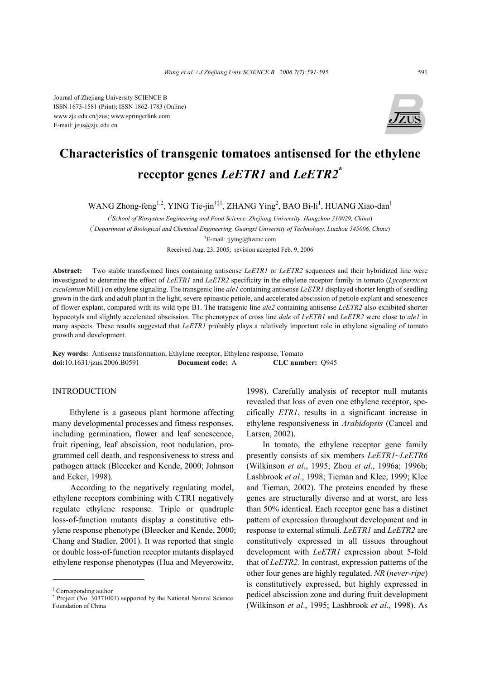Journal of Zhejiang University SCIENCE B ISSN 1673-1581 (Print); ISSN 1862-1783 (Online) www.zju.edu.cn/jzus; www.springerlink.com E-mail: jzus@zju.edu.cn



# **Characteristics of transgenic tomatoes antisensed for the ethylene receptor genes** *LeETR1* **and** *LeETR2***\***

WANG Zhong-feng<sup>1,2</sup>, YING Tie-jin<sup>†‡1</sup>, ZHANG Ying<sup>2</sup>, BAO Bi-li<sup>1</sup>, HUANG Xiao-dan<sup>1</sup>

( *1 School of Biosystem Engineering and Food Science, Zhejiang University, Hangzhou 310029, China*) ( *2 Department of Biological and Chemical Engineering, Guangxi University of Technology, Liuzhou 545006, China*) † E-mail: tjying@hzcnc.com Received Aug. 23, 2005; revision accepted Feb. 9, 2006

**Abstract:** Two stable transformed lines containing antisense *LeETR1* or *LeETR2* sequences and their hybridized line were investigated to determine the effect of *LeETR1* and *LeETR2* specificity in the ethylene receptor family in tomato (*Lycopersicon esculentum* Mill.) on ethylene signaling. The transgenic line *ale1* containing antisense *LeETR1* displayed shorter length of seedling grown in the dark and adult plant in the light, severe epinastic petiole, and accelerated abscission of petiole explant and senescence of flower explant, compared with its wild type B1. The transgenic line *ale2* containing antisense *LeETR2* also exhibited shorter hypocotyls and slightly accelerated abscission. The phenotypes of cross line *dale* of *LeETR1* and *LeETR2* were close to *ale1* in many aspects. These results suggested that *LeETR1* probably plays a relatively important role in ethylene signaling of tomato growth and development.

**Key words:** Antisense transformation, Ethylene receptor, Ethylene response, Tomato **doi:**10.1631/jzus.2006.B0591 **Document code:** A **CLC number:** Q945

INTRODUCTION

Ethylene is a gaseous plant hormone affecting many developmental processes and fitness responses, including germination, flower and leaf senescence, fruit ripening, leaf abscission, root nodulation, programmed cell death, and responsiveness to stress and pathogen attack (Bleecker and Kende, 2000; Johnson and Ecker, 1998).

According to the negatively regulating model, ethylene receptors combining with CTR1 negatively regulate ethylene response. Triple or quadruple loss-of-function mutants display a constitutive ethylene response phenotype (Bleecker and Kende, 2000; Chang and Stadler, 2001). It was reported that single or double loss-of-function receptor mutants displayed ethylene response phenotypes (Hua and Meyerowitz,

1998). Carefully analysis of receptor null mutants revealed that loss of even one ethylene receptor, specifically *ETR1*, results in a significant increase in ethylene responsiveness in *Arabidopsis* (Cancel and Larsen, 2002).

In tomato, the ethylene receptor gene family presently consists of six members *LeETR1*~*LeETR6* (Wilkinson *et al*., 1995; Zhou *et al*., 1996a; 1996b; Lashbrook *et al*., 1998; Tieman and Klee, 1999; Klee and Tieman, 2002). The proteins encoded by these genes are structurally diverse and at worst, are less than 50% identical. Each receptor gene has a distinct pattern of expression throughout development and in response to external stimuli. *LeETR1* and *LeETR2* are constitutively expressed in all tissues throughout development with *LeETR1* expression about 5-fold that of *LeETR2*. In contrast, expression patterns of the other four genes are highly regulated. *NR* (*never-ripe*) is constitutively expressed, but highly expressed in pedicel abscission zone and during fruit development (Wilkinson *et al*., 1995; Lashbrook *et al*., 1998). As

<sup>‡</sup> Corresponding author

<sup>\*</sup> Project (No. 30371001) supported by the National Natural Science Foundation of China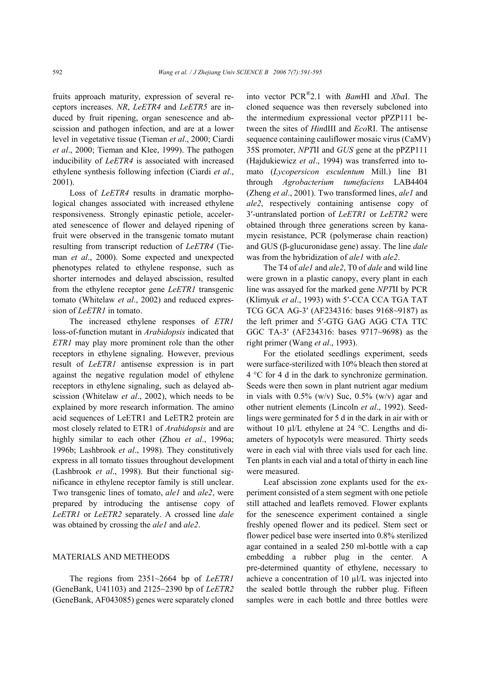fruits approach maturity, expression of several receptors increases. *NR*, *LeETR4* and *LeETR5* are induced by fruit ripening, organ senescence and abscission and pathogen infection, and are at a lower level in vegetative tissue (Tieman *et al*., 2000; Ciardi *et al*., 2000; Tieman and Klee, 1999). The pathogen inducibility of *LeETR4* is associated with increased ethylene synthesis following infection (Ciardi *et al*., 2001).

Loss of *LeETR4* results in dramatic morphological changes associated with increased ethylene responsiveness. Strongly epinastic petiole, accelerated senescence of flower and delayed ripening of fruit were observed in the transgenic tomato mutant resulting from transcript reduction of *LeETR4* (Tieman *et al*., 2000). Some expected and unexpected phenotypes related to ethylene response, such as shorter internodes and delayed abscission, resulted from the ethylene receptor gene *LeETR1* transgenic tomato (Whitelaw *et al*., 2002) and reduced expression of *LeETR1* in tomato.

The increased ethylene responses of *ETR1* loss-of-function mutant in *Arabidopsis* indicated that *ETR1* may play more prominent role than the other receptors in ethylene signaling. However, previous result of *LeETR1* antisense expression is in part against the negative regulation model of ethylene receptors in ethylene signaling, such as delayed abscission (Whitelaw *et al*., 2002), which needs to be explained by more research information. The amino acid sequences of LeETR1 and LeETR2 protein are most closely related to ETR1 of *Arabidopsis* and are highly similar to each other (Zhou *et al*., 1996a; 1996b; Lashbrook *et al*., 1998). They constitutively express in all tomato tissues throughout development (Lashbrook *et al*., 1998). But their functional significance in ethylene receptor family is still unclear. Two transgenic lines of tomato, *ale1* and *ale2*, were prepared by introducing the antisense copy of *LeETR1* or *LeETR2* separately. A crossed line *dale* was obtained by crossing the *ale1* and *ale2*.

### MATERIALS AND METHEODS

The regions from 2351~2664 bp of *LeETR1* (GeneBank, U41103) and 2125~2390 bp of *LeETR2* (GeneBank, AF043085) genes were separately cloned into vector PCR®2.1 with *Bam*HI and *Xba*I. The cloned sequence was then reversely subcloned into the intermedium expressional vector pPZP111 between the sites of *Hin*dIII and *Eco*RI. The antisense sequence containing cauliflower mosaic virus (CaMV) 35S promoter, *NPT*II and *GUS* gene at the pPZP111 (Hajdukiewicz *et al*., 1994) was transferred into tomato (*Lycopersicon esculentum* Mill.) line B1 through *Agrobacterium tumefaciens* LAB4404 (Zheng *et al*., 2001). Two transformed lines, *ale1* and *ale2*, respectively containing antisense copy of 3′-untranslated portion of *LeETR1* or *LeETR2* were obtained through three generations screen by kanamycin resistance, PCR (polymerase chain reaction) and GUS (β-glucuronidase gene) assay. The line *dale* was from the hybridization of *ale1* with *ale2*.

The T4 of *ale1* and *ale2*, T0 of *dale* and wild line were grown in a plastic canopy, every plant in each line was assayed for the marked gene *NPT*II by PCR (Klimyuk *et al*., 1993) with 5′-CCA CCA TGA TAT TCG GCA AG-3′ (AF234316: bases 9168~9187) as the left primer and 5′-GTG GAG AGG CTA TTC GGC TA-3′ (AF234316: bases 9717~9698) as the right primer (Wang *et al*., 1993).

For the etiolated seedlings experiment, seeds were surface-sterilized with 10% bleach then stored at 4 °C for 4 d in the dark to synchronize germination. Seeds were then sown in plant nutrient agar medium in vials with  $0.5\%$  (w/v) Suc,  $0.5\%$  (w/v) agar and other nutrient elements (Lincoln *et al*., 1992). Seedlings were germinated for 5 d in the dark in air with or without 10 µl/L ethylene at 24 °C. Lengths and diameters of hypocotyls were measured. Thirty seeds were in each vial with three vials used for each line. Ten plants in each vial and a total of thirty in each line were measured.

Leaf abscission zone explants used for the experiment consisted of a stem segment with one petiole still attached and leaflets removed. Flower explants for the senescence experiment contained a single freshly opened flower and its pedicel. Stem sect or flower pedicel base were inserted into 0.8% sterilized agar contained in a sealed 250 ml-bottle with a cap embedding a rubber plug in the center. A pre-determined quantity of ethylene, necessary to achieve a concentration of 10 µl/L was injected into the sealed bottle through the rubber plug. Fifteen samples were in each bottle and three bottles were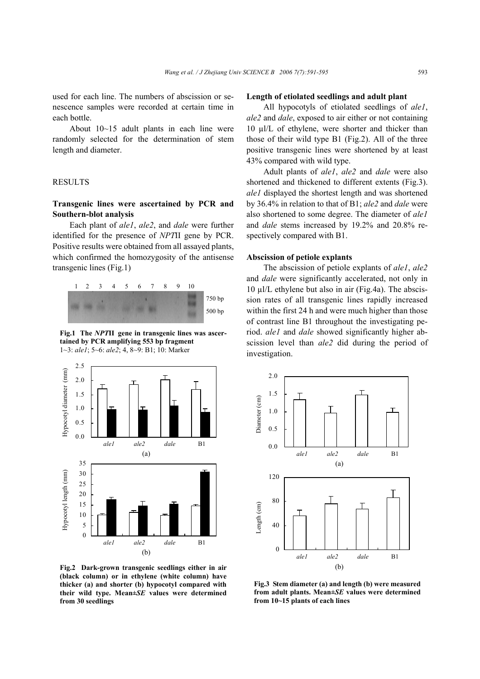used for each line. The numbers of abscission or senescence samples were recorded at certain time in each bottle.

About 10~15 adult plants in each line were randomly selected for the determination of stem length and diameter.

## **RESULTS**

## **Transgenic lines were ascertained by PCR and Southern-blot analysis**

Each plant of *ale1*, *ale2*, and *dale* were further identified for the presence of *NPT*II gene by PCR. Positive results were obtained from all assayed plants, which confirmed the homozygosity of the antisense transgenic lines (Fig.1)



**Fig.1 The** *NPT***II gene in transgenic lines was ascertained by PCR amplifying 553 bp fragment**  1~3: *ale1*; 5~6: *ale2*; 4, 8~9: B1; 10: Marker



**Fig.2 Dark-grown transgenic seedlings either in air (black column) or in ethylene (white column) have thicker (a) and shorter (b) hypocotyl compared with their wild type. Mean±***SE* **values were determined**

## **Length of etiolated seedlings and adult plant**

All hypocotyls of etiolated seedlings of *ale1*, *ale2* and *dale*, exposed to air either or not containing 10 µl/L of ethylene, were shorter and thicker than those of their wild type B1 (Fig.2). All of the three positive transgenic lines were shortened by at least 43% compared with wild type.

Adult plants of *ale1*, *ale2* and *dale* were also shortened and thickened to different extents (Fig.3). *ale1* displayed the shortest length and was shortened by 36.4% in relation to that of B1; *ale2* and *dale* were also shortened to some degree. The diameter of *ale1* and *dale* stems increased by 19.2% and 20.8% respectively compared with B1.

#### **Abscission of petiole explants**

The abscission of petiole explants of *ale1*, *ale2* and *dale* were significantly accelerated, not only in 10 µl/L ethylene but also in air (Fig.4a). The abscission rates of all transgenic lines rapidly increased within the first 24 h and were much higher than those of contrast line B1 throughout the investigating period. *ale1* and *dale* showed significantly higher abscission level than *ale2* did during the period of investigation.



**Fig.3 Stem diameter (a) and length (b) were measured from adult plants. Mean±***SE* **values were determined**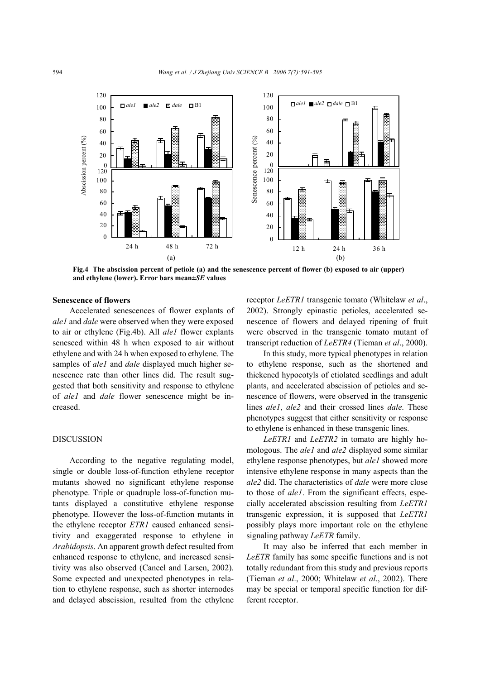

**Fig.4 The abscission percent of petiole (a) and the senescence percent of flower (b) exposed to air (upper) and ethylene (lower). Error bars mean±***SE* **values** 

#### **Senescence of flowers**

Accelerated senescences of flower explants of *ale1* and *dale* were observed when they were exposed to air or ethylene (Fig.4b). All *ale1* flower explants senesced within 48 h when exposed to air without ethylene and with 24 h when exposed to ethylene. The samples of *ale1* and *dale* displayed much higher senescence rate than other lines did. The result suggested that both sensitivity and response to ethylene of *ale1* and *dale* flower senescence might be increased.

## **DISCUSSION**

According to the negative regulating model, single or double loss-of-function ethylene receptor mutants showed no significant ethylene response phenotype. Triple or quadruple loss-of-function mutants displayed a constitutive ethylene response phenotype. However the loss-of-function mutants in the ethylene receptor *ETR1* caused enhanced sensitivity and exaggerated response to ethylene in *Arabidopsis*. An apparent growth defect resulted from enhanced response to ethylene, and increased sensitivity was also observed (Cancel and Larsen, 2002). Some expected and unexpected phenotypes in relation to ethylene response, such as shorter internodes and delayed abscission, resulted from the ethylene

receptor *LeETR1* transgenic tomato (Whitelaw *et al*., 2002). Strongly epinastic petioles, accelerated senescence of flowers and delayed ripening of fruit were observed in the transgenic tomato mutant of transcript reduction of *LeETR4* (Tieman *et al*., 2000).

In this study, more typical phenotypes in relation to ethylene response, such as the shortened and thickened hypocotyls of etiolated seedlings and adult plants, and accelerated abscission of petioles and senescence of flowers, were observed in the transgenic lines *ale1*, *ale2* and their crossed lines *dale*. These phenotypes suggest that either sensitivity or response to ethylene is enhanced in these transgenic lines.

*LeETR1* and *LeETR2* in tomato are highly homologous. The *ale1* and *ale2* displayed some similar ethylene response phenotypes, but *ale1* showed more intensive ethylene response in many aspects than the *ale2* did. The characteristics of *dale* were more close to those of *ale1*. From the significant effects, especially accelerated abscission resulting from *LeETR1* transgenic expression, it is supposed that *LeETR1* possibly plays more important role on the ethylene signaling pathway *LeETR* family.

It may also be inferred that each member in *LeETR* family has some specific functions and is not totally redundant from this study and previous reports (Tieman *et al*., 2000; Whitelaw *et al*., 2002). There may be special or temporal specific function for different receptor.